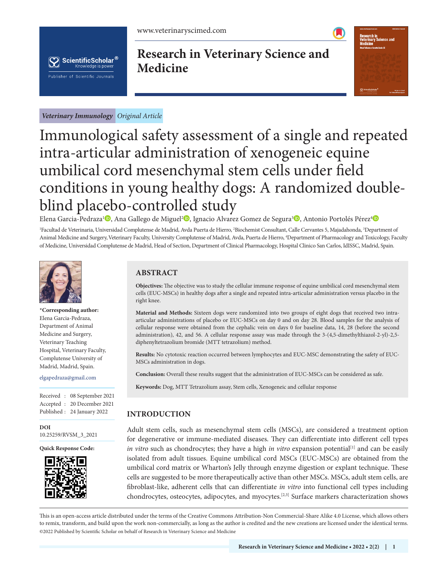



# **Research in Veterinary Science and Medicine**



*Veterinary Immunology Original Article*

# Immunological safety assessment of a single and repeated intra-articular administration of xenogeneic equine umbilical cord mesenchymal stem cells under field conditions in young healthy dogs: A randomized doubleblind placebo-controlled study

Elena Garcia-Pedraza'®[,](https://orcid.org/0000-0002-9079-5112) Ana Gallego de Miguel<del>'</del>®[,](https://orcid.org/0000-0001-5436-5396) Ignacio Alvarez Gomez de Segura<sup>3</sup>®, Antonio Portolés Pérez<sup>[4](https://orcid.org/0000-0002-5646-5275)</sup>

<sup>1</sup>Facultad de Veterinaria, Universidad Complutense de Madrid, Avda Puerta de Hierro, <sup>2</sup>Biochemist Consultant, Calle Cervantes 5, Majadahonda, <sup>3</sup>Department of Animal Medicine and Surgery, Veterinary Faculty, University Complutense of Madrid, Avda, Puerta de Hierro, <sup>4</sup>Department of Pharmacology and Toxicology, Faculty of Medicine, Universidad Complutense de Madrid, Head of Section, Department of Clinical Pharmacology, Hospital Clinico San Carlos, IdISSC, Madrid, Spain.



**\*Corresponding author:** Elena Garcia-Pedraza, Department of Animal Medicine and Surgery, Veterinary Teaching Hospital, Veterinary Faculty, Complutense University of Madrid, Madrid, Spain.

#### elgapedraza@gmail.com

Received : 08 September 2021 Accepted : 20 December 2021 Published : 24 January 2022

**[DOI](https://dx.doi.org/10.25259/RVSM_3_2021)** [10.25259/RVSM\\_3\\_2021](https://dx.doi.org/10.25259/RVSM_3_2021)

**Quick Response Code:**



# **ABSTRACT**

**Objectives:** The objective was to study the cellular immune response of equine umbilical cord mesenchymal stem cells (EUC-MSCs) in healthy dogs after a single and repeated intra-articular administration versus placebo in the right knee.

**Material and Methods:** Sixteen dogs were randomized into two groups of eight dogs that received two intraarticular administrations of placebo or EUC-MSCs on day 0 and on day 28. Blood samples for the analysis of cellular response were obtained from the cephalic vein on days 0 for baseline data, 14, 28 (before the second administration), 42, and 56. A cellular response assay was made through the 3-(4,5-dimethylthiazol-2-yl)-2,5 diphenyltetrazolium bromide (MTT tetrazolium) method.

**Results:** No cytotoxic reaction occurred between lymphocytes and EUC-MSC demonstrating the safety of EUC-MSCs administration in dogs.

**Conclusion:** Overall these results suggest that the administration of EUC-MSCs can be considered as safe.

**Keywords:** Dog, MTT Tetrazolium assay, Stem cells, Xenogeneic and cellular response

# **INTRODUCTION**

Adult stem cells, such as mesenchymal stem cells (MSCs), are considered a treatment option for degenerative or immune-mediated diseases. They can differentiate into different cell types *in vitro* such as chondrocytes; they have a high *in vitro* expansion potential<sup>[1]</sup> and can be easily isolated from adult tissues. Equine umbilical cord MSCs (EUC-MSCs) are obtained from the umbilical cord matrix or Wharton's Jelly through enzyme digestion or explant technique. These cells are suggested to be more therapeutically active than other MSCs. MSCs, adult stem cells, are fibroblast-like, adherent cells that can differentiate *in vitro* into functional cell types including chondrocytes, osteocytes, adipocytes, and myocytes.[2,3] Surface markers characterization shows

is is an open-access article distributed under the terms of the Creative Commons Attribution-Non Commercial-Share Alike 4.0 License, which allows others to remix, transform, and build upon the work non-commercially, as long as the author is credited and the new creations are licensed under the identical terms. ©2022 Published by Scientific Scholar on behalf of Research in Veterinary Science and Medicine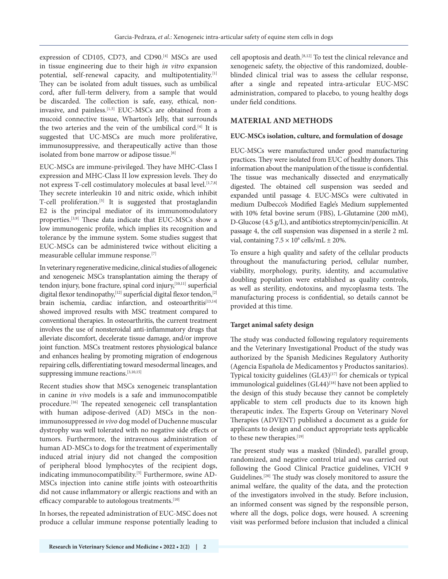expression of CD105, CD73, and CD90.<sup>[4]</sup> MSCs are used in tissue engineering due to their high *in vitro* expansion potential, self-renewal capacity, and multipotentiality.[1] They can be isolated from adult tissues, such as umbilical cord, after full-term delivery, from a sample that would be discarded. The collection is safe, easy, ethical, noninvasive, and painless.[1,5] EUC-MSCs are obtained from a mucoid connective tissue, Wharton's Jelly, that surrounds the two arteries and the vein of the umbilical cord.[4] It is suggested that UC-MSCs are much more proliferative, immunosuppressive, and therapeutically active than those isolated from bone marrow or adipose tissue.<sup>[6]</sup>

EUC-MSCs are immune-privileged. They have MHC-Class I expression and MHC-Class II low expression levels. They do not express T-cell costimulatory molecules at basal level.<sup>[1,7,8]</sup> They secrete interleukin 10 and nitric oxide, which inhibit T-cell proliferation.<sup>[5]</sup> It is suggested that prostaglandin E2 is the principal mediator of its immunomodulatory properties.[3,9] These data indicate that EUC-MSCs show a low immunogenic profile, which implies its recognition and tolerance by the immune system. Some studies suggest that EUC-MSCs can be administered twice without eliciting a measurable cellular immune response.[7]

In veterinary regenerative medicine, clinical studies of allogeneic and xenogeneic MSCs transplantation aiming the therapy of tendon injury, bone fracture, spinal cord injury, [10,11] superficial digital flexor tendinopathy,<sup>[12]</sup> superficial digital flexor tendon,<sup>[2]</sup> brain ischemia, cardiac infarction, and osteoarthritis<sup>[13,14]</sup> showed improved results with MSC treatment compared to conventional therapies. In osteoarthritis, the current treatment involves the use of nonsteroidal anti-inflammatory drugs that alleviate discomfort, decelerate tissue damage, and/or improve joint function. MSCs treatment restores physiological balance and enhances healing by promoting migration of endogenous repairing cells, differentiating toward mesodermal lineages, and suppressing immune reactions.[3,10,15]

Recent studies show that MSCs xenogeneic transplantation in canine *in vivo* models is a safe and immunocompatible procedure.<sup>[16]</sup> The repeated xenogeneic cell transplantation with human adipose-derived (AD) MSCs in the nonimmunosuppressed *in vivo* dog model of Duchenne muscular dystrophy was well tolerated with no negative side effects or tumors. Furthermore, the intravenous administration of human AD-MSCs to dogs for the treatment of experimentally induced atrial injury did not changed the composition of peripheral blood lymphocytes of the recipient dogs, indicating immunocompatibility.<sup>[5]</sup> Furthermore, swine AD-MSCs injection into canine stifle joints with osteoarthritis did not cause inflammatory or allergic reactions and with an efficacy comparable to autologous treatments.<sup>[10]</sup>

In horses, the repeated administration of EUC-MSC does not produce a cellular immune response potentially leading to cell apoptosis and death.[8,12] To test the clinical relevance and xenogeneic safety, the objective of this randomized, doubleblinded clinical trial was to assess the cellular response, after a single and repeated intra-articular EUC-MSC administration, compared to placebo, to young healthy dogs under field conditions.

# **MATERIAL AND METHODS**

#### **EUC-MSCs isolation, culture, and formulation of dosage**

EUC-MSCs were manufactured under good manufacturing practices. They were isolated from EUC of healthy donors. This information about the manipulation of the tissue is confidential. The tissue was mechanically dissected and enzymatically digested. The obtained cell suspension was seeded and expanded until passage 4. EUC-MSCs were cultivated in medium Dulbecco's Modified Eagle's Medium supplemented with 10% fetal bovine serum (FBS), L-Glutamine (200 mM), D-Glucose (4.5 g/L), and antibiotics streptomycin/penicillin. At passage 4, the cell suspension was dispensed in a sterile 2 mL vial, containing  $7.5 \times 10^6$  cells/mL  $\pm$  20%.

To ensure a high quality and safety of the cellular products throughout the manufacturing period, cellular number, viability, morphology, purity, identity, and accumulative doubling population were established as quality controls, as well as sterility, endotoxins, and mycoplasma tests. The manufacturing process is confidential, so details cannot be provided at this time.

# **Target animal safety design**

The study was conducted following regulatory requirements and the Veterinary Investigational Product of the study was authorized by the Spanish Medicines Regulatory Authority (Agencia Española de Medicamentos y Productos sanitarios). Typical toxicity guidelines (GL43)<sup>[17]</sup> for chemicals or typical immunological guidelines  $(GL44)^{[18]}$  have not been applied to the design of this study because they cannot be completely applicable to stem cell products due to its known high therapeutic index. The Experts Group on Veterinary Novel Therapies (ADVENT) published a document as a guide for applicants to design and conduct appropriate tests applicable to these new therapies.<sup>[19]</sup>

The present study was a masked (blinded), parallel group, randomized, and negative control trial and was carried out following the Good Clinical Practice guidelines, VICH 9 Guidelines.[20] The study was closely monitored to assure the animal welfare, the quality of the data, and the protection of the investigators involved in the study. Before inclusion, an informed consent was signed by the responsible person, where all the dogs, police dogs, were housed. A screening visit was performed before inclusion that included a clinical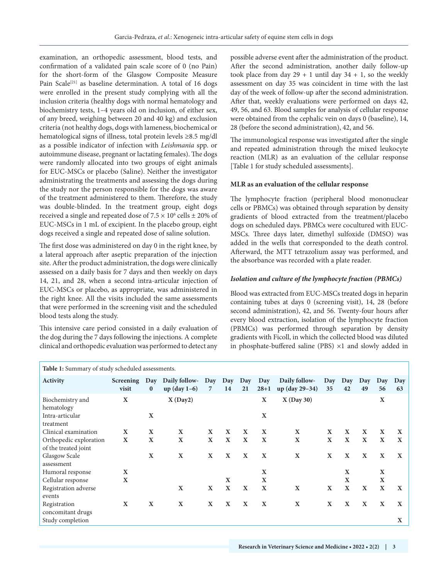examination, an orthopedic assessment, blood tests, and confirmation of a validated pain scale score of 0 (no Pain) for the short-form of the Glasgow Composite Measure Pain Scale<sup>[21]</sup> as baseline determination. A total of 16 dogs were enrolled in the present study complying with all the inclusion criteria (healthy dogs with normal hematology and biochemistry tests, 1–4 years old on inclusion, of either sex, of any breed, weighing between 20 and 40 kg) and exclusion criteria (not healthy dogs, dogs with lameness, biochemical or hematological signs of illness, total protein levels ≥8.5 mg/dl as a possible indicator of infection with *Leishmania* spp. or autoimmune disease, pregnant or lactating females). The dogs were randomly allocated into two groups of eight animals for EUC-MSCs or placebo (Saline). Neither the investigator administrating the treatments and assessing the dogs during the study nor the person responsible for the dogs was aware of the treatment administered to them. Therefore, the study was double-blinded. In the treatment group, eight dogs received a single and repeated dose of  $7.5 \times 10^6$  cells  $\pm 20\%$  of EUC-MSCs in 1 mL of excipient. In the placebo group, eight dogs received a single and repeated dose of saline solution.

The first dose was administered on day 0 in the right knee, by a lateral approach after aseptic preparation of the injection site. After the product administration, the dogs were clinically assessed on a daily basis for 7 days and then weekly on days 14, 21, and 28, when a second intra-articular injection of EUC-MSCs or placebo, as appropriate, was administered in the right knee. All the visits included the same assessments that were performed in the screening visit and the scheduled blood tests along the study.

This intensive care period consisted in a daily evaluation of the dog during the 7 days following the injections. A complete clinical and orthopedic evaluation was performed to detect any

possible adverse event after the administration of the product. After the second administration, another daily follow-up took place from day  $29 + 1$  until day  $34 + 1$ , so the weekly assessment on day 35 was coincident in time with the last day of the week of follow-up after the second administration. After that, weekly evaluations were performed on days 42, 49, 56, and 63. Blood samples for analysis of cellular response were obtained from the cephalic vein on days 0 (baseline), 14, 28 (before the second administration), 42, and 56.

The immunological response was investigated after the single and repeated administration through the mixed leukocyte reaction (MLR) as an evaluation of the cellular response [Table 1 for study scheduled assessments].

#### **MLR as an evaluation of the cellular response**

The lymphocyte fraction (peripheral blood mononuclear cells or PBMCs) was obtained through separation by density gradients of blood extracted from the treatment/placebo dogs on scheduled days. PBMCs were cocultured with EUC-MSCs. Three days later, dimethyl sulfoxide (DMSO) was added in the wells that corresponded to the death control. Afterward, the MTT tetrazolium assay was performed, and the absorbance was recorded with a plate reader.

#### *Isolation and culture of the lymphocyte fraction (PBMCs)*

Blood was extracted from EUC-MSCs treated dogs in heparin containing tubes at days 0 (screening visit), 14, 28 (before second administration), 42, and 56. Twenty-four hours after every blood extraction, isolation of the lymphocyte fraction (PBMCs) was performed through separation by density gradients with Ficoll, in which the collected blood was diluted in phosphate-buffered saline (PBS)  $\times$ 1 and slowly added in

| 56          | Day<br>63 |
|-------------|-----------|
| $\mathbf X$ |           |
|             |           |
| X           | X         |
| $\mathbf X$ | X         |
|             |           |
| $\mathbf X$ | X         |
|             |           |
| X           |           |
| X           |           |
| $\mathbf X$ | X         |
|             |           |
| X           | X         |
|             |           |
|             | X         |
|             | Day       |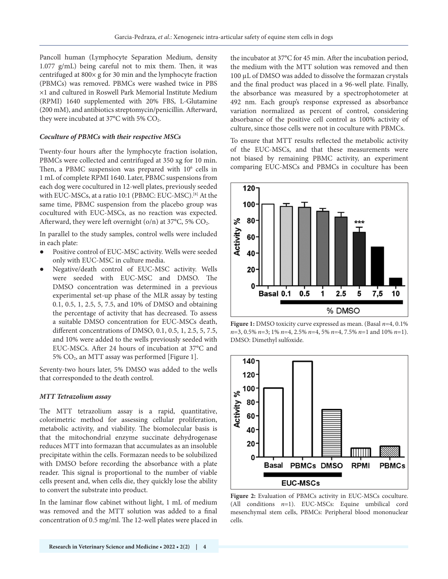Pancoll human (Lymphocyte Separation Medium, density 1.077 g/mL) being careful not to mix them. Then, it was centrifuged at 800× g for 30 min and the lymphocyte fraction (PBMCs) was removed. PBMCs were washed twice in PBS ×1 and cultured in Roswell Park Memorial Institute Medium (RPMI) 1640 supplemented with 20% FBS, L-Glutamine (200 mM), and antibiotics streptomycin/penicillin. Afterward, they were incubated at  $37^{\circ}$ C with 5% CO<sub>2</sub>.

#### *Coculture of PBMCs with their respective MSCs*

Twenty-four hours after the lymphocyte fraction isolation, PBMCs were collected and centrifuged at 350 xg for 10 min. Then, a PBMC suspension was prepared with  $10<sup>6</sup>$  cells in 1 mL of complete RPMI 1640. Later, PBMC suspensions from each dog were cocultured in 12-well plates, previously seeded with EUC-MSCs, at a ratio 10:1 (PBMC: EUC-MSC).[8] At the same time, PBMC suspension from the placebo group was cocultured with EUC-MSCs, as no reaction was expected. Afterward, they were left overnight ( $o/n$ ) at 37 $\degree$ C, 5% CO<sub>2</sub>.

In parallel to the study samples, control wells were included in each plate:

- *●* Positive control of EUC-MSC activity. Wells were seeded only with EUC-MSC in culture media.
- *●* Negative/death control of EUC-MSC activity. Wells were seeded with EUC-MSC and DMSO. The DMSO concentration was determined in a previous experimental set-up phase of the MLR assay by testing 0.1, 0.5, 1, 2.5, 5, 7.5, and 10% of DMSO and obtaining the percentage of activity that has decreased. To assess a suitable DMSO concentration for EUC-MSCs death, different concentrations of DMSO, 0.1, 0.5, 1, 2.5, 5, 7.5, and 10% were added to the wells previously seeded with EUC-MSCs. After 24 hours of incubation at 37°C and 5% CO2, an MTT assay was performed [Figure 1].

Seventy-two hours later, 5% DMSO was added to the wells that corresponded to the death control.

#### *MTT Tetrazolium assay*

The MTT tetrazolium assay is a rapid, quantitative, colorimetric method for assessing cellular proliferation, metabolic activity, and viability. The biomolecular basis is that the mitochondrial enzyme succinate dehydrogenase reduces MTT into formazan that accumulates as an insoluble precipitate within the cells. Formazan needs to be solubilized with DMSO before recording the absorbance with a plate reader. This signal is proportional to the number of viable cells present and, when cells die, they quickly lose the ability to convert the substrate into product.

In the laminar flow cabinet without light, 1 mL of medium was removed and the MTT solution was added to a final concentration of 0.5 mg/ml. The 12-well plates were placed in the incubator at 37°C for 45 min. After the incubation period, the medium with the MTT solution was removed and then 100 µL of DMSO was added to dissolve the formazan crystals and the final product was placed in a 96-well plate. Finally, the absorbance was measured by a spectrophotometer at 492 nm. Each group's response expressed as absorbance variation normalized as percent of control, considering absorbance of the positive cell control as 100% activity of culture, since those cells were not in coculture with PBMCs.

To ensure that MTT results reflected the metabolic activity of the EUC-MSCs, and that these measurements were not biased by remaining PBMC activity, an experiment comparing EUC-MSCs and PBMCs in coculture has been



**Figure 1:** DMSO toxicity curve expressed as mean. (Basal *n*=4, 0.1% *n*=3, 0.5% *n*=3; 1% *n*=4, 2.5% *n*=4, 5% *n*=4, 7.5% *n*=1 and 10% *n*=1). DMSO: Dimethyl sulfoxide.



Figure 2: Evaluation of PBMCs activity in EUC-MSCs coculture. (All conditions *n*=1). EUC-MSCs: Equine umbilical cord mesenchymal stem cells, PBMCs: Peripheral blood mononuclear cells.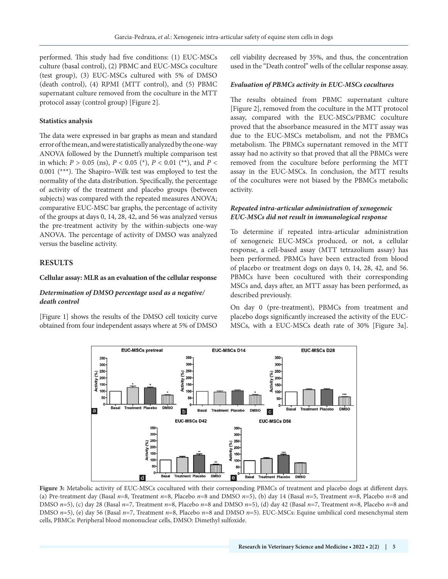performed. This study had five conditions: (1) EUC-MSCs culture (basal control), (2) PBMC and EUC-MSCs coculture (test group), (3) EUC-MSCs cultured with 5% of DMSO (death control), (4) RPMI (MTT control), and (5) PBMC supernatant culture removed from the coculture in the MTT protocol assay (control group) [Figure 2].

#### **Statistics analysis**

The data were expressed in bar graphs as mean and standard error of the mean, and were statistically analyzed by the one-way ANOVA followed by the Dunnett's multiple comparison test in which: *P* > 0.05 (ns), *P* < 0.05 (\*), *P* < 0.01 (\*\*), and *P* < 0.001 (\*\*\*). The Shapiro–Wilk test was employed to test the normality of the data distribution. Specifically, the percentage of activity of the treatment and placebo groups (between subjects) was compared with the repeated measures ANOVA; comparative EUC-MSC bar graphs, the percentage of activity of the groups at days 0, 14, 28, 42, and 56 was analyzed versus the pre-treatment activity by the within-subjects one-way ANOVA. The percentage of activity of DMSO was analyzed versus the baseline activity.

#### **RESULTS**

#### **Cellular assay: MLR as an evaluation of the cellular response**

#### *Determination of DMSO percentage used as a negative/ death control*

[Figure 1] shows the results of the DMSO cell toxicity curve obtained from four independent assays where at 5% of DMSO cell viability decreased by 35%, and thus, the concentration used in the "Death control" wells of the cellular response assay.

#### *Evaluation of PBMCs activity in EUC-MSCs cocultures*

The results obtained from PBMC supernatant culture [Figure 2], removed from the coculture in the MTT protocol assay, compared with the EUC-MSCs/PBMC coculture proved that the absorbance measured in the MTT assay was due to the EUC-MSCs metabolism, and not the PBMCs metabolism. The PBMCs supernatant removed in the MTT assay had no activity so that proved that all the PBMCs were removed from the coculture before performing the MTT assay in the EUC-MSCs. In conclusion, the MTT results of the cocultures were not biased by the PBMCs metabolic activity.

#### *Repeated intra-articular administration of xenogeneic EUC-MSCs did not result in immunological response*

To determine if repeated intra-articular administration of xenogeneic EUC-MSCs produced, or not, a cellular response, a cell-based assay (MTT tetrazolium assay) has been performed. PBMCs have been extracted from blood of placebo or treatment dogs on days 0, 14, 28, 42, and 56. PBMCs have been cocultured with their corresponding MSCs and, days after, an MTT assay has been performed, as described previously.

On day 0 (pre-treatment), PBMCs from treatment and placebo dogs significantly increased the activity of the EUC-MSCs, with a EUC-MSCs death rate of 30% [Figure 3a].



Figure 3: Metabolic activity of EUC-MSCs cocultured with their corresponding PBMCs of treatment and placebo dogs at different days. (a) Pre-treatment day (Basal *n*=8, Treatment *n*=8, Placebo *n*=8 and DMSO *n*=5), (b) day 14 (Basal *n*=5, Treatment *n*=8, Placebo *n*=8 and DMSO *n*=5), (c) day 28 (Basal *n*=7, Treatment *n*=8, Placebo *n*=8 and DMSO *n*=5), (d) day 42 (Basal *n*=7, Treatment *n*=8, Placebo *n*=8 and DMSO *n*=5), (e) day 56 (Basal *n*=7, Treatment *n*=8, Placebo *n*=8 and DMSO *n*=5). EUC-MSCs: Equine umbilical cord mesenchymal stem cells, PBMCs: Peripheral blood mononuclear cells, DMSO: Dimethyl sulfoxide.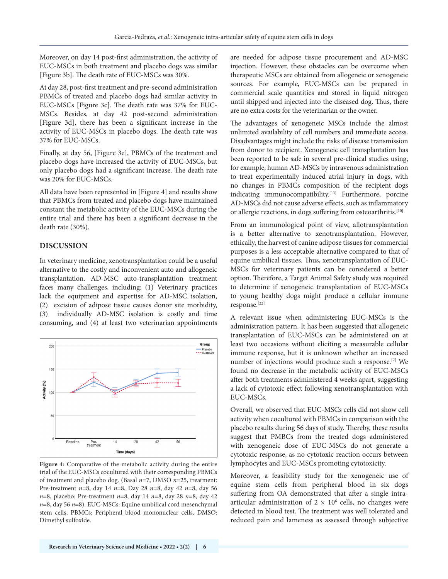Moreover, on day 14 post-first administration, the activity of EUC-MSCs in both treatment and placebo dogs was similar [Figure 3b]. The death rate of EUC-MSCs was 30%.

At day 28, post-first treatment and pre-second administration PBMCs of treated and placebo dogs had similar activity in EUC-MSCs [Figure 3c]. The death rate was 37% for EUC-MSCs. Besides, at day 42 post-second administration [Figure 3d], there has been a significant increase in the activity of EUC-MSCs in placebo dogs. The death rate was 37% for EUC-MSCs.

Finally, at day 56, [Figure 3e], PBMCs of the treatment and placebo dogs have increased the activity of EUC-MSCs, but only placebo dogs had a significant increase. The death rate was 20% for EUC-MSCs.

All data have been represented in [Figure 4] and results show that PBMCs from treated and placebo dogs have maintained constant the metabolic activity of the EUC-MSCs during the entire trial and there has been a significant decrease in the death rate (30%).

## **DISCUSSION**

In veterinary medicine, xenotransplantation could be a useful alternative to the costly and inconvenient auto and allogeneic transplantation. AD-MSC auto-transplantation treatment faces many challenges, including: (1) Veterinary practices lack the equipment and expertise for AD-MSC isolation, (2) excision of adipose tissue causes donor site morbidity, (3) individually AD-MSC isolation is costly and time consuming, and (4) at least two veterinarian appointments



**Figure 4:** Comparative of the metabolic activity during the entire trial of the EUC-MSCs cocultured with their corresponding PBMCs of treatment and placebo dog. (Basal *n*=7, DMSO *n*=25, treatment: Pre-treatment *n*=8, day 14 *n*=8, Day 28 *n*=8, day 42 *n*=8, day 56 *n*=8, placebo: Pre-treatment *n*=8, day 14 *n*=8, day 28 *n*=8, day 42 *n*=8, day 56 *n*=8). EUC-MSCs: Equine umbilical cord mesenchymal stem cells, PBMCs: Peripheral blood mononuclear cells, DMSO: Dimethyl sulfoxide.

are needed for adipose tissue procurement and AD-MSC injection. However, these obstacles can be overcome when therapeutic MSCs are obtained from allogeneic or xenogeneic sources. For example, EUC-MSCs can be prepared in commercial scale quantities and stored in liquid nitrogen until shipped and injected into the diseased dog. Thus, there are no extra costs for the veterinarian or the owner.

The advantages of xenogeneic MSCs include the almost unlimited availability of cell numbers and immediate access. Disadvantages might include the risks of disease transmission from donor to recipient. Xenogeneic cell transplantation has been reported to be safe in several pre-clinical studies using, for example, human AD-MSCs by intravenous administration to treat experimentally induced atrial injury in dogs, with no changes in PBMCs composition of the recipient dogs indicating immunocompatibility.<sup>[13]</sup> Furthermore, porcine AD-MSCs did not cause adverse effects, such as inflammatory or allergic reactions, in dogs suffering from osteoarthritis.<sup>[10]</sup>

From an immunological point of view, allotransplantation is a better alternative to xenotransplantation. However, ethically, the harvest of canine adipose tissues for commercial purposes is a less acceptable alternative compared to that of equine umbilical tissues. Thus, xenotransplantation of EUC-MSCs for veterinary patients can be considered a better option. Therefore, a Target Animal Safety study was required to determine if xenogeneic transplantation of EUC-MSCs to young healthy dogs might produce a cellular immune response.[22]

A relevant issue when administering EUC-MSCs is the administration pattern. It has been suggested that allogeneic transplantation of EUC-MSCs can be administered on at least two occasions without eliciting a measurable cellular immune response, but it is unknown whether an increased number of injections would produce such a response.[7] We found no decrease in the metabolic activity of EUC-MSCs after both treatments administered 4 weeks apart, suggesting a lack of cytotoxic effect following xenotransplantation with EUC-MSCs.

Overall, we observed that EUC-MSCs cells did not show cell activity when cocultured with PBMCs in comparison with the placebo results during 56 days of study. Thereby, these results suggest that PMBCs from the treated dogs administered with xenogeneic dose of EUC-MSCs do not generate a cytotoxic response, as no cytotoxic reaction occurs between lymphocytes and EUC-MSCs promoting cytotoxicity.

Moreover, a feasibility study for the xenogeneic use of equine stem cells from peripheral blood in six dogs suffering from OA demonstrated that after a single intraarticular administration of  $2 \times 10^6$  cells, no changes were detected in blood test. The treatment was well tolerated and reduced pain and lameness as assessed through subjective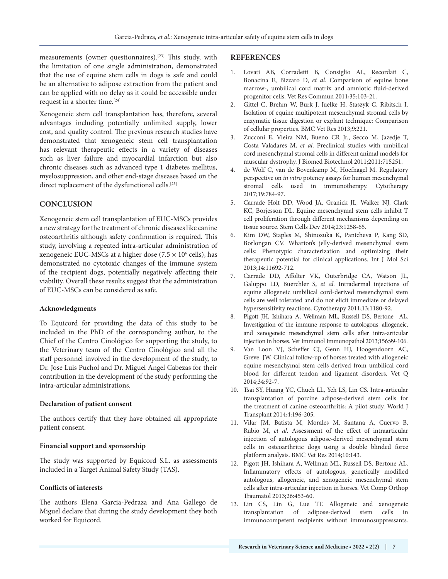measurements (owner questionnaires).<sup>[23]</sup> This study, with the limitation of one single administration, demonstrated that the use of equine stem cells in dogs is safe and could be an alternative to adipose extraction from the patient and can be applied with no delay as it could be accessible under request in a shorter time.<sup>[24]</sup>

Xenogeneic stem cell transplantation has, therefore, several advantages including potentially unlimited supply, lower cost, and quality control. The previous research studies have demonstrated that xenogeneic stem cell transplantation has relevant therapeutic effects in a variety of diseases such as liver failure and myocardial infarction but also chronic diseases such as advanced type 1 diabetes mellitus, myelosuppression, and other end-stage diseases based on the direct replacement of the dysfunctional cells.<sup>[25]</sup>

## **CONCLUSION**

Xenogeneic stem cell transplantation of EUC-MSCs provides a new strategy for the treatment of chronic diseases like canine osteoarthritis although safety confirmation is required. This study, involving a repeated intra-articular administration of xenogeneic EUC-MSCs at a higher dose (7.5  $\times$  10 $^6$  cells), has demonstrated no cytotoxic changes of the immune system of the recipient dogs, potentially negatively affecting their viability. Overall these results suggest that the administration of EUC-MSCs can be considered as safe.

#### **Acknowledgments**

To Equicord for providing the data of this study to be included in the PhD of the corresponding author, to the Chief of the Centro Cinológico for supporting the study, to the Veterinary team of the Centro Cinológico and all the staff personnel involved in the development of the study, to Dr. Jose Luis Puchol and Dr. Miguel Angel Cabezas for their contribution in the development of the study performing the intra-articular administrations.

#### **Declaration of patient consent**

The authors certify that they have obtained all appropriate patient consent.

#### **Financial support and sponsorship**

The study was supported by Equicord S.L. as assessments included in a Target Animal Safety Study (TAS).

#### **Conflicts of interests**

The authors Elena Garcia-Pedraza and Ana Gallego de Miguel declare that during the study development they both worked for Equicord.

#### **REFERENCES**

- 1. Lovati AB, Corradetti B, Consiglio AL, Recordati C, Bonacina E, Bizzaro D, *et al*. Comparison of equine bone marrow-, umbilical cord matrix and amniotic fluid-derived progenitor cells. Vet Res Commun 2011;35:103-21.
- 2. Gittel C, Brehm W, Burk J, Juelke H, Staszyk C, Ribitsch I. Isolation of equine multipotent mesenchymal stromal cells by enzymatic tissue digestion or explant technique: Comparison of cellular properties. BMC Vet Res 2013;9:221.
- 3. Zucconi E, Vieira NM, Bueno CR Jr., Secco M, Jazedje T, Costa Valadares M, *et al*. Preclinical studies with umbilical cord mesenchymal stromal cells in different animal models for muscular dystrophy. J Biomed Biotechnol 2011;2011:715251.
- 4. de Wolf C, van de Bovenkamp M, Hoefnagel M. Regulatory perspective on *in vitro* potency assays for human mesenchymal stromal cells used in immunotherapy. Cytotherapy 2017;19:784-97.
- 5. Carrade Holt DD, Wood JA, Granick JL, Walker NJ, Clark KC, Borjesson DL. Equine mesenchymal stem cells inhibit T cell proliferation through different mechanisms depending on tissue source. Stem Cells Dev 2014;23:1258-65.
- 6. Kim DW, Staples M, Shinozuka K, Pantcheva P, Kang SD, Borlongan CV. Wharton's jelly-derived mesenchymal stem cells: Phenotypic characterization and optimizing their therapeutic potential for clinical applications. Int J Mol Sci 2013;14:11692-712.
- 7. Carrade DD, Affolter VK, Outerbridge CA, Watson JL, Galuppo LD, Buerchler S, *et al.* Intradermal injections of equine allogeneic umbilical cord-derived mesenchymal stem cells are well tolerated and do not elicit immediate or delayed hypersensitivity reactions. Cytotherapy 2011;13:1180-92.
- 8. Pigott JH, Ishihara A, Wellman ML, Russell DS, Bertone AL. Investigation of the immune response to autologous, allogeneic, and xenogeneic mesenchymal stem cells after intra-articular injection in horses. Vet Immunol Immunopathol 2013;156:99-106.
- 9. Van Loon VJ, Scheffer CJ, Genn HJ, Hoogendoorn AC, Greve JW. Clinical follow-up of horses treated with allogeneic equine mesenchymal stem cells derived from umbilical cord blood for different tendon and ligament disorders. Vet Q 2014;34:92-7.
- 10. Tsai SY, Huang YC, Chueh LL, Yeh LS, Lin CS. Intra-articular transplantation of porcine adipose-derived stem cells for the treatment of canine osteoarthritis: A pilot study. World J Transplant 2014;4:196-205.
- 11. Vilar JM, Batista M, Morales M, Santana A, Cuervo B, Rubio M, *et al*. Assessment of the effect of intraarticular injection of autologous adipose-derived mesenchymal stem cells in osteoarthritic dogs using a double blinded force platform analysis. BMC Vet Res 2014;10:143.
- 12. Pigott JH, Ishihara A, Wellman ML, Russell DS, Bertone AL. Inflammatory effects of autologous, genetically modified autologous, allogeneic, and xenogeneic mesenchymal stem cells after intra-articular injection in horses. Vet Comp Orthop Traumatol 2013;26:453-60.
- 13. Lin CS, Lin G, Lue TF. Allogeneic and xenogeneic transplantation of adipose-derived stem cells in immunocompetent recipients without immunosuppressants.